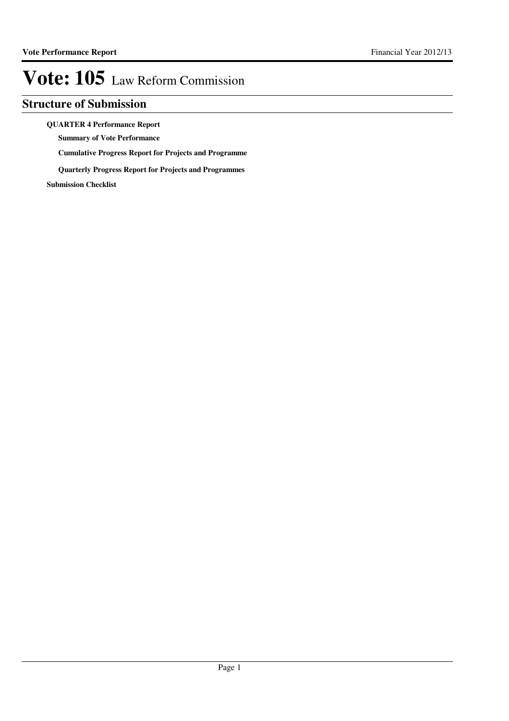### **Structure of Submission**

### **QUARTER 4 Performance Report**

**Summary of Vote Performance**

**Cumulative Progress Report for Projects and Programme**

**Quarterly Progress Report for Projects and Programmes**

**Submission Checklist**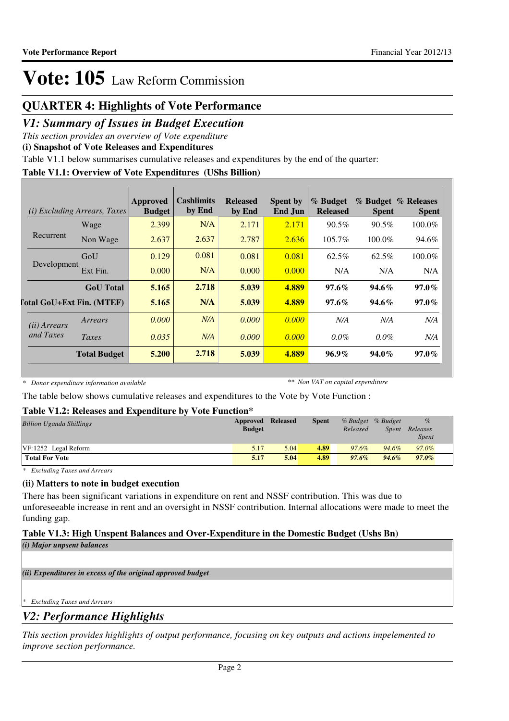### **QUARTER 4: Highlights of Vote Performance**

### *V1: Summary of Issues in Budget Execution*

*This section provides an overview of Vote expenditure*

**(i) Snapshot of Vote Releases and Expenditures**

Table V1.1 below summarises cumulative releases and expenditures by the end of the quarter:

### **Table V1.1: Overview of Vote Expenditures (UShs Billion)**

|                       | <i>(i)</i> Excluding Arrears, Taxes | Approved<br><b>Budget</b> | <b>Cashlimits</b><br>by End | <b>Released</b><br>by End | <b>Spent by</b><br><b>End Jun</b> | % Budget<br><b>Released</b> | <b>Spent</b> | % Budget % Releases<br><b>Spent</b> |
|-----------------------|-------------------------------------|---------------------------|-----------------------------|---------------------------|-----------------------------------|-----------------------------|--------------|-------------------------------------|
|                       | Wage                                | 2.399                     | N/A                         | 2.171                     | 2.171                             | $90.5\%$                    | $90.5\%$     | $100.0\%$                           |
| Recurrent             | Non Wage                            | 2.637                     | 2.637                       | 2.787                     | 2.636                             | $105.7\%$                   | $100.0\%$    | 94.6%                               |
|                       | GoU                                 | 0.129                     | 0.081                       | 0.081                     | 0.081                             | 62.5%                       | 62.5%        | 100.0%                              |
| Development           | Ext Fin.                            | 0.000                     | N/A                         | 0.000                     | 0.000                             | N/A                         | N/A          | N/A                                 |
|                       | <b>GoU</b> Total                    | 5.165                     | 2.718                       | 5.039                     | 4.889                             | $97.6\%$                    | $94.6\%$     | $97.0\%$                            |
|                       | [otal GoU+Ext Fin. (MTEF)           | 5.165                     | N/A                         | 5.039                     | 4.889                             | $97.6\%$                    | $94.6\%$     | $97.0\%$                            |
| ( <i>ii</i> ) Arrears | Arrears                             | 0.000                     | N/A                         | 0.000                     | 0.000                             | N/A                         | N/A          | N/A                                 |
| and Taxes             | Taxes                               | 0.035                     | N/A                         | 0.000                     | 0.000                             | $0.0\%$                     | $0.0\%$      | N/A                                 |
|                       | <b>Total Budget</b>                 | 5.200                     | 2.718                       | 5.039                     | 4.889                             | $96.9\%$                    | $94.0\%$     | $97.0\%$                            |

*\* Donor expenditure information available*

*\*\* Non VAT on capital expenditure*

The table below shows cumulative releases and expenditures to the Vote by Vote Function :

### **Table V1.2: Releases and Expenditure by Vote Function\***

| <b>Billion Uganda Shillings</b> | <b>Approved Released</b><br><b>Budget</b> |      | <b>Spent</b> | Released | % Budget % Budget<br><i>Spent</i> | $\%$<br>Releases<br><i>Spent</i> |
|---------------------------------|-------------------------------------------|------|--------------|----------|-----------------------------------|----------------------------------|
| VF:1252 Legal Reform            | 5.17                                      | 5.04 | 4.89         | $97.6\%$ | 94.6%                             | 97.0%                            |
| <b>Total For Vote</b>           | 5.17                                      | 5.04 | 4.89         | $97.6\%$ | $94.6\%$                          | $97.0\%$                         |

*\* Excluding Taxes and Arrears*

### **(ii) Matters to note in budget execution**

There has been significant variations in expenditure on rent and NSSF contribution. This was due to unforeseeable increase in rent and an oversight in NSSF contribution. Internal allocations were made to meet the funding gap.

### **Table V1.3: High Unspent Balances and Over-Expenditure in the Domestic Budget (Ushs Bn)**

*(i) Major unpsent balances*

*(ii) Expenditures in excess of the original approved budget*

*\* Excluding Taxes and Arrears*

### *V2: Performance Highlights*

*This section provides highlights of output performance, focusing on key outputs and actions impelemented to improve section performance.*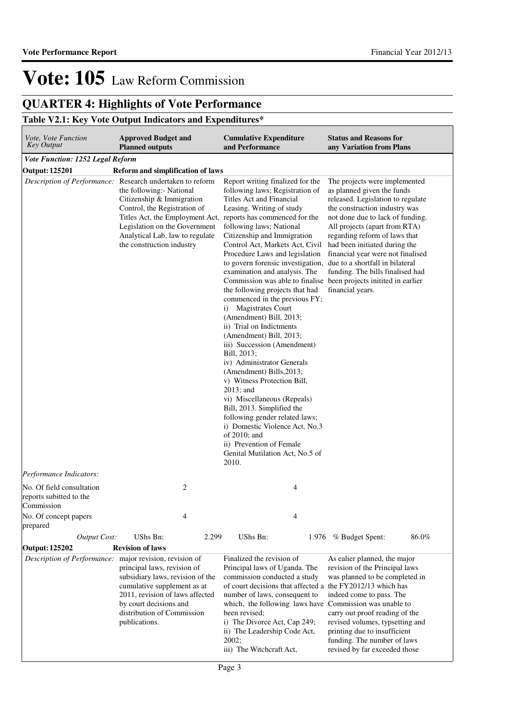## **QUARTER 4: Highlights of Vote Performance**

### **Table V2.1: Key Vote Output Indicators and Expenditures\***

| Vote, Vote Function<br><b>Key Output</b>                                                                                                                                                                                                                              | <b>Approved Budget and</b><br><b>Planned outputs</b>                                                                                                                                   |                                                                                                                                                                                                                                                                                                                                               | <b>Cumulative Expenditure</b><br>and Performance                                                                                                                                                                                                                                                                                                                                                                                                                                                                                                                                                                                                                                                                                                                                                                                                                                                                                                                                                                                                                              | <b>Status and Reasons for</b><br>any Variation from Plans                                                                                                                                                                                                                                                                                                             |       |  |  |  |
|-----------------------------------------------------------------------------------------------------------------------------------------------------------------------------------------------------------------------------------------------------------------------|----------------------------------------------------------------------------------------------------------------------------------------------------------------------------------------|-----------------------------------------------------------------------------------------------------------------------------------------------------------------------------------------------------------------------------------------------------------------------------------------------------------------------------------------------|-------------------------------------------------------------------------------------------------------------------------------------------------------------------------------------------------------------------------------------------------------------------------------------------------------------------------------------------------------------------------------------------------------------------------------------------------------------------------------------------------------------------------------------------------------------------------------------------------------------------------------------------------------------------------------------------------------------------------------------------------------------------------------------------------------------------------------------------------------------------------------------------------------------------------------------------------------------------------------------------------------------------------------------------------------------------------------|-----------------------------------------------------------------------------------------------------------------------------------------------------------------------------------------------------------------------------------------------------------------------------------------------------------------------------------------------------------------------|-------|--|--|--|
| Vote Function: 1252 Legal Reform                                                                                                                                                                                                                                      |                                                                                                                                                                                        |                                                                                                                                                                                                                                                                                                                                               |                                                                                                                                                                                                                                                                                                                                                                                                                                                                                                                                                                                                                                                                                                                                                                                                                                                                                                                                                                                                                                                                               |                                                                                                                                                                                                                                                                                                                                                                       |       |  |  |  |
| <b>Output: 125201</b><br>Reform and simplification of laws                                                                                                                                                                                                            |                                                                                                                                                                                        |                                                                                                                                                                                                                                                                                                                                               |                                                                                                                                                                                                                                                                                                                                                                                                                                                                                                                                                                                                                                                                                                                                                                                                                                                                                                                                                                                                                                                                               |                                                                                                                                                                                                                                                                                                                                                                       |       |  |  |  |
| Description of Performance: Research undertaken to reform                                                                                                                                                                                                             | the following:- National<br>Citizenship & Immigration<br>Control, the Registration of<br>Legislation on the Government<br>Analytical Lab, law to regulate<br>the construction industry |                                                                                                                                                                                                                                                                                                                                               | Report writing finalized for the<br>following laws; Registration of<br><b>Titles Act and Financial</b><br>Leasing. Writing of study<br>Titles Act, the Employment Act, reports has commenced for the<br>following laws; National<br>Citizenship and Immigration<br>Control Act, Markets Act, Civil<br>Procedure Laws and legislation<br>to govern forensic investigation, due to a shortfall in bilateral<br>examination and analysis. The<br>Commission was able to finalise been projects initited in earlier<br>the following projects that had<br>commenced in the previous FY;<br>i) Magistrates Court<br>(Amendment) Bill, 2013;<br>ii) Trial on Indictments<br>(Amendment) Bill, 2013;<br>iii) Succession (Amendment)<br>Bill, 2013;<br>iv) Administrator Generals<br>(Amendment) Bills, 2013;<br>v) Witness Protection Bill,<br>$2013$ ; and<br>vi) Miscellaneous (Repeals)<br>Bill, 2013. Simplified the<br>following gender related laws;<br>i) Domestic Violence Act, No.3<br>of 2010; and<br>ii) Prevention of Female<br>Genital Mutilation Act, No.5 of<br>2010. | The projects were implemented<br>as planned given the funds<br>released. Legislation to regulate<br>the construction industry was<br>not done due to lack of funding.<br>All projects (apart from RTA)<br>regarding reform of laws that<br>had been initiated during the<br>financial year were not finalised<br>funding. The bills finalised had<br>financial years. |       |  |  |  |
| Performance Indicators:                                                                                                                                                                                                                                               |                                                                                                                                                                                        |                                                                                                                                                                                                                                                                                                                                               |                                                                                                                                                                                                                                                                                                                                                                                                                                                                                                                                                                                                                                                                                                                                                                                                                                                                                                                                                                                                                                                                               |                                                                                                                                                                                                                                                                                                                                                                       |       |  |  |  |
| No. Of field consultation<br>reports subitted to the<br>Commission                                                                                                                                                                                                    | 2                                                                                                                                                                                      |                                                                                                                                                                                                                                                                                                                                               | 4                                                                                                                                                                                                                                                                                                                                                                                                                                                                                                                                                                                                                                                                                                                                                                                                                                                                                                                                                                                                                                                                             |                                                                                                                                                                                                                                                                                                                                                                       |       |  |  |  |
| No. Of concept papers<br>prepared                                                                                                                                                                                                                                     | 4                                                                                                                                                                                      |                                                                                                                                                                                                                                                                                                                                               | $\overline{4}$                                                                                                                                                                                                                                                                                                                                                                                                                                                                                                                                                                                                                                                                                                                                                                                                                                                                                                                                                                                                                                                                |                                                                                                                                                                                                                                                                                                                                                                       |       |  |  |  |
| <b>Output Cost:</b>                                                                                                                                                                                                                                                   | UShs Bn:                                                                                                                                                                               | 2.299                                                                                                                                                                                                                                                                                                                                         | UShs Bn:                                                                                                                                                                                                                                                                                                                                                                                                                                                                                                                                                                                                                                                                                                                                                                                                                                                                                                                                                                                                                                                                      | 1.976 % Budget Spent:                                                                                                                                                                                                                                                                                                                                                 | 86.0% |  |  |  |
| Output: 125202                                                                                                                                                                                                                                                        | <b>Revision of laws</b>                                                                                                                                                                |                                                                                                                                                                                                                                                                                                                                               |                                                                                                                                                                                                                                                                                                                                                                                                                                                                                                                                                                                                                                                                                                                                                                                                                                                                                                                                                                                                                                                                               |                                                                                                                                                                                                                                                                                                                                                                       |       |  |  |  |
|                                                                                                                                                                                                                                                                       |                                                                                                                                                                                        |                                                                                                                                                                                                                                                                                                                                               | Finalized the revision of                                                                                                                                                                                                                                                                                                                                                                                                                                                                                                                                                                                                                                                                                                                                                                                                                                                                                                                                                                                                                                                     | As ealier planned, the major                                                                                                                                                                                                                                                                                                                                          |       |  |  |  |
| Description of Performance: major revision, revision of<br>principal laws, revision of<br>subsidiary laws, revision of the<br>cumulative supplement as at<br>2011, revision of laws affected<br>by court decisions and<br>distribution of Commission<br>publications. |                                                                                                                                                                                        | Principal laws of Uganda. The<br>commission conducted a study<br>of court decisions that affected a the FY2012/13 which has<br>number of laws, consequent to<br>which, the following laws have Commission was unable to<br>been revised;<br>i) The Divorce Act, Cap 249;<br>ii) The Leadership Code Act,<br>2002;<br>iii) The Witchcraft Act, | revision of the Principal laws<br>was planned to be completed in<br>indeed come to pass. The<br>carry out proof reading of the<br>revised volumes, typsetting and<br>printing due to insufficient<br>funding. The number of laws<br>revised by far exceeded those                                                                                                                                                                                                                                                                                                                                                                                                                                                                                                                                                                                                                                                                                                                                                                                                             |                                                                                                                                                                                                                                                                                                                                                                       |       |  |  |  |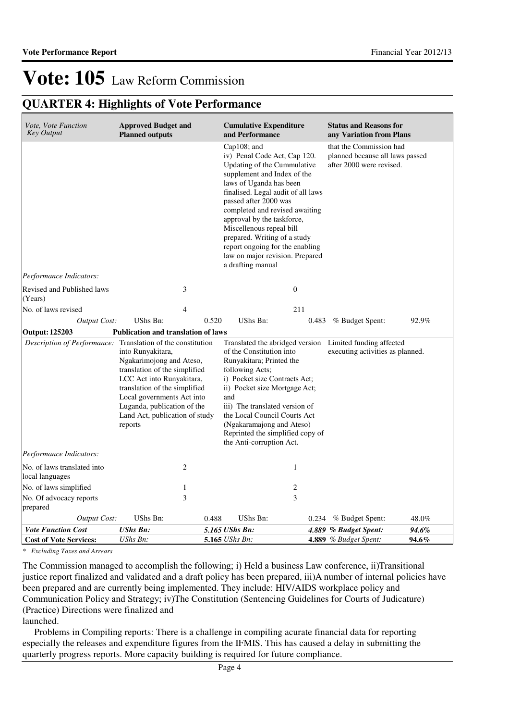### **QUARTER 4: Highlights of Vote Performance**

| <i>Vote, Vote Function</i><br><b>Key Output</b>             | <b>Approved Budget and</b><br><b>Planned outputs</b>                                                                                                                                                                                                   |                                  | <b>Cumulative Expenditure</b><br>and Performance                                                                                                                                                                                                                                                                                                                                                                           |                  | <b>Status and Reasons for</b><br>any Variation from Plans                                    |                |  |
|-------------------------------------------------------------|--------------------------------------------------------------------------------------------------------------------------------------------------------------------------------------------------------------------------------------------------------|----------------------------------|----------------------------------------------------------------------------------------------------------------------------------------------------------------------------------------------------------------------------------------------------------------------------------------------------------------------------------------------------------------------------------------------------------------------------|------------------|----------------------------------------------------------------------------------------------|----------------|--|
|                                                             |                                                                                                                                                                                                                                                        |                                  | Cap108; and<br>iv) Penal Code Act, Cap 120.<br>Updating of the Cummulative<br>supplement and Index of the<br>laws of Uganda has been<br>finalised. Legal audit of all laws<br>passed after 2000 was<br>completed and revised awaiting<br>approval by the taskforce,<br>Miscellenous repeal bill<br>prepared. Writing of a study<br>report ongoing for the enabling<br>law on major revision. Prepared<br>a drafting manual |                  | that the Commission had<br>planned because all laws passed<br>after 2000 were revised.       |                |  |
| Performance Indicators:                                     |                                                                                                                                                                                                                                                        |                                  |                                                                                                                                                                                                                                                                                                                                                                                                                            |                  |                                                                                              |                |  |
| Revised and Published laws<br>(Years)                       | 3                                                                                                                                                                                                                                                      |                                  |                                                                                                                                                                                                                                                                                                                                                                                                                            | $\boldsymbol{0}$ |                                                                                              |                |  |
| No. of laws revised                                         | $\overline{4}$                                                                                                                                                                                                                                         |                                  |                                                                                                                                                                                                                                                                                                                                                                                                                            | 211              |                                                                                              |                |  |
| <b>Output Cost:</b>                                         | UShs Bn:                                                                                                                                                                                                                                               | 0.520                            | UShs Bn:                                                                                                                                                                                                                                                                                                                                                                                                                   |                  | 0.483 % Budget Spent:                                                                        | 92.9%          |  |
| <b>Output: 125203</b>                                       | Publication and translation of laws                                                                                                                                                                                                                    |                                  |                                                                                                                                                                                                                                                                                                                                                                                                                            |                  |                                                                                              |                |  |
| Description of Performance: Translation of the constitution | into Runyakitara,<br>Ngakarimojong and Ateso,<br>translation of the simplified<br>LCC Act into Runyakitara,<br>translation of the simplified<br>Local governments Act into<br>Luganda, publication of the<br>Land Act, publication of study<br>reports |                                  | of the Constitution into<br>Runyakitara; Printed the<br>following Acts;<br>i) Pocket size Contracts Act;<br>ii) Pocket size Mortgage Act;<br>and<br>iii) The translated version of<br>the Local Council Courts Act<br>(Ngakaramajong and Ateso)<br>Reprinted the simplified copy of<br>the Anti-corruption Act.                                                                                                            |                  | Translated the abridged version Limited funding affected<br>executing activities as planned. |                |  |
| Performance Indicators:                                     |                                                                                                                                                                                                                                                        |                                  |                                                                                                                                                                                                                                                                                                                                                                                                                            |                  |                                                                                              |                |  |
| No. of laws translated into<br>local languages              | $\overline{c}$                                                                                                                                                                                                                                         |                                  |                                                                                                                                                                                                                                                                                                                                                                                                                            | $\mathbf{1}$     |                                                                                              |                |  |
| No. of laws simplified                                      | 1                                                                                                                                                                                                                                                      |                                  |                                                                                                                                                                                                                                                                                                                                                                                                                            | $\sqrt{2}$       |                                                                                              |                |  |
| No. Of advocacy reports<br>prepared                         | 3                                                                                                                                                                                                                                                      |                                  |                                                                                                                                                                                                                                                                                                                                                                                                                            | 3                |                                                                                              |                |  |
| <b>Output Cost:</b>                                         | UShs Bn:                                                                                                                                                                                                                                               | 0.488                            | UShs Bn:                                                                                                                                                                                                                                                                                                                                                                                                                   |                  | $0.234$ % Budget Spent:                                                                      | 48.0%          |  |
| <b>Vote Function Cost</b><br><b>Cost of Vote Services:</b>  | <b>UShs Bn:</b><br>UShs Bn:                                                                                                                                                                                                                            | 5.165 UShs Bn:<br>5.165 UShs Bn: |                                                                                                                                                                                                                                                                                                                                                                                                                            |                  | 4.889 % Budget Spent:<br>4.889 % Budget Spent:                                               | 94.6%<br>94.6% |  |

*\* Excluding Taxes and Arrears*

The Commission managed to accomplish the following; i) Held a business Law conference, ii)Transitional justice report finalized and validated and a draft policy has been prepared, iii)A number of internal policies have been prepared and are currently being implemented. They include: HIV/AIDS workplace policy and Communication Policy and Strategy; iv)The Constitution (Sentencing Guidelines for Courts of Judicature) (Practice) Directions were finalized and

launched.

 Problems in Compiling reports: There is a challenge in compiling acurate financial data for reporting especially the releases and expenditure figures from the IFMIS. This has caused a delay in submitting the quarterly progress reports. More capacity building is required for future compliance.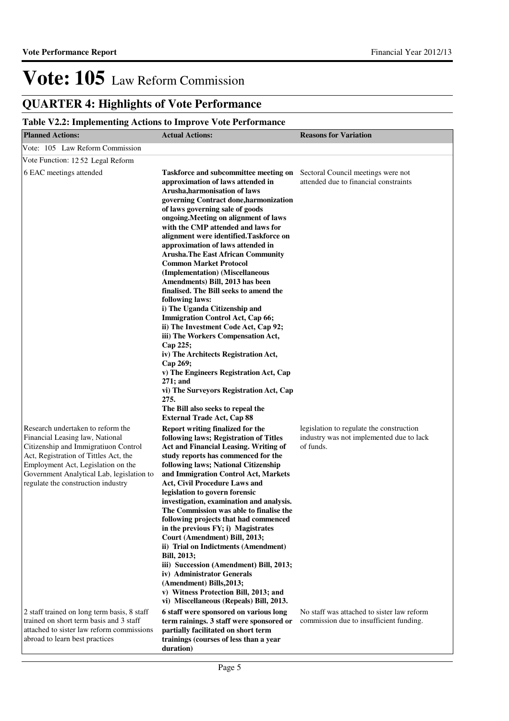### **QUARTER 4: Highlights of Vote Performance**

### **Table V2.2: Implementing Actions to Improve Vote Performance**

| <b>Planned Actions:</b>                                                                                                                                                                                                                                                        | <b>Actual Actions:</b>                                                                                                                                                                                                                                                                                                                                                                                                                                                                                                                                                                                                                                                                                                                                                                                                                                                                                        | <b>Reasons for Variation</b>                                                                      |
|--------------------------------------------------------------------------------------------------------------------------------------------------------------------------------------------------------------------------------------------------------------------------------|---------------------------------------------------------------------------------------------------------------------------------------------------------------------------------------------------------------------------------------------------------------------------------------------------------------------------------------------------------------------------------------------------------------------------------------------------------------------------------------------------------------------------------------------------------------------------------------------------------------------------------------------------------------------------------------------------------------------------------------------------------------------------------------------------------------------------------------------------------------------------------------------------------------|---------------------------------------------------------------------------------------------------|
| Vote: 105 Law Reform Commission                                                                                                                                                                                                                                                |                                                                                                                                                                                                                                                                                                                                                                                                                                                                                                                                                                                                                                                                                                                                                                                                                                                                                                               |                                                                                                   |
| Vote Function: 1252 Legal Reform                                                                                                                                                                                                                                               |                                                                                                                                                                                                                                                                                                                                                                                                                                                                                                                                                                                                                                                                                                                                                                                                                                                                                                               |                                                                                                   |
| 6 EAC meetings attended                                                                                                                                                                                                                                                        | Taskforce and subcommittee meeting on<br>approximation of laws attended in<br>Arusha, harmonisation of laws<br>governing Contract done, harmonization<br>of laws governing sale of goods<br>ongoing. Meeting on alignment of laws<br>with the CMP attended and laws for<br>alignment were identified. Taskforce on<br>approximation of laws attended in<br><b>Arusha. The East African Community</b><br><b>Common Market Protocol</b><br>(Implementation) (Miscellaneous<br>Amendments) Bill, 2013 has been<br>finalised. The Bill seeks to amend the<br>following laws:<br>i) The Uganda Citizenship and<br><b>Immigration Control Act, Cap 66;</b><br>ii) The Investment Code Act, Cap 92;<br>iii) The Workers Compensation Act,<br>Cap 225;<br>iv) The Architects Registration Act,<br>Cap 269;<br>v) The Engineers Registration Act, Cap<br>$271;$ and<br>vi) The Surveyors Registration Act, Cap<br>275. | Sectoral Council meetings were not<br>attended due to financial constraints                       |
| Research undertaken to reform the<br>Financial Leasing law, National<br>Citizenship and Immigratiuon Control<br>Act, Registration of Tittles Act, the<br>Employment Act, Legislation on the<br>Government Analytical Lab, legislation to<br>regulate the construction industry | The Bill also seeks to repeal the<br><b>External Trade Act, Cap 88</b><br>Report writing finalized for the<br>following laws; Registration of Titles<br><b>Act and Financial Leasing. Writing of</b><br>study reports has commenced for the<br>following laws; National Citizenship<br>and Immigration Control Act, Markets<br>Act, Civil Procedure Laws and<br>legislation to govern forensic<br>investigation, examination and analysis.<br>The Commission was able to finalise the<br>following projects that had commenced<br>in the previous FY; i) Magistrates<br>Court (Amendment) Bill, 2013;<br>ii) Trial on Indictments (Amendment)<br><b>Bill, 2013;</b><br>iii) Succession (Amendment) Bill, 2013;<br>iv) Administrator Generals<br>(Amendment) Bills, 2013;<br>v) Witness Protection Bill, 2013; and<br>vi) Miscellaneous (Repeals) Bill, 2013.                                                  | legislation to regulate the construction<br>industry was not implemented due to lack<br>of funds. |
| 2 staff trained on long term basis, 8 staff<br>trained on short term basis and 3 staff<br>attached to sister law reform commissions<br>abroad to learn best practices                                                                                                          | 6 staff were sponsored on various long<br>term rainings. 3 staff were sponsored or<br>partially facilitated on short term<br>trainings (courses of less than a year<br>duration)                                                                                                                                                                                                                                                                                                                                                                                                                                                                                                                                                                                                                                                                                                                              | No staff was attached to sister law reform<br>commission due to insufficient funding.             |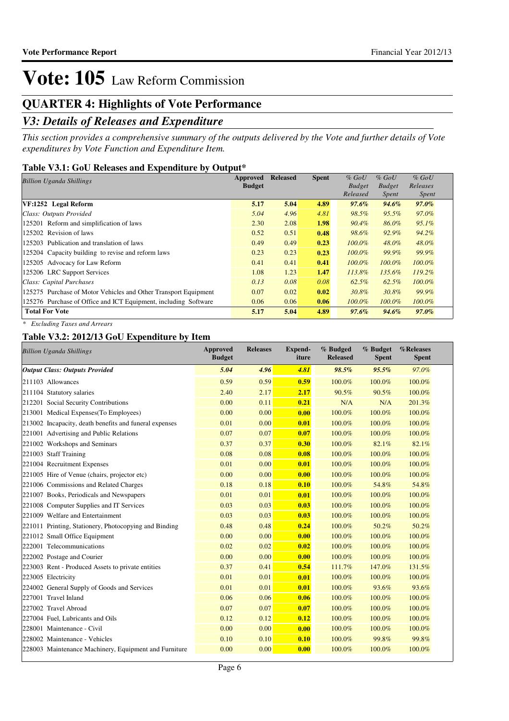### **QUARTER 4: Highlights of Vote Performance**

### *V3: Details of Releases and Expenditure*

*This section provides a comprehensive summary of the outputs delivered by the Vote and further details of Vote expenditures by Vote Function and Expenditure Item.*

### **Table V3.1: GoU Releases and Expenditure by Output\***

| <b>Billion Uganda Shillings</b>                                 | Approved      | <b>Released</b> | <b>Spent</b> | $%$ GoU       | $\%$ GoU      | $%$ GoU   |
|-----------------------------------------------------------------|---------------|-----------------|--------------|---------------|---------------|-----------|
|                                                                 | <b>Budget</b> |                 |              | <b>Budget</b> | <b>Budget</b> | Releases  |
|                                                                 |               |                 |              | Released      | <i>Spent</i>  | Spent     |
| VF:1252 Legal Reform                                            | 5.17          | 5.04            | 4.89         | $97.6\%$      | $94.6\%$      | $97.0\%$  |
| Class: Outputs Provided                                         | 5.04          | 4.96            | 4.81         | 98.5%         | 95.5%         | 97.0%     |
| 125201 Reform and simplification of laws                        | 2.30          | 2.08            | 1.98         | 90.4%         | 86.0%         | $95.1\%$  |
| 125202 Revision of laws                                         | 0.52          | 0.51            | 0.48         | 98.6%         | 92.9%         | 94.2%     |
| 125203 Publication and translation of laws                      | 0.49          | 0.49            | 0.23         | $100.0\%$     | 48.0%         | 48.0%     |
| 125204 Capacity building to revise and reform laws              | 0.23          | 0.23            | 0.23         | $100.0\%$     | 99.9%         | 99.9%     |
| 125205 Advocacy for Law Reform                                  | 0.41          | 0.41            | 0.41         | $100.0\%$     | $100.0\%$     | 100.0%    |
| 125206 LRC Support Services                                     | 1.08          | 1.23            | 1.47         | 113.8%        | 135.6%        | 119.2%    |
| Class: Capital Purchases                                        | 0.13          | 0.08            | 0.08         | 62.5%         | 62.5%         | $100.0\%$ |
| 125275 Purchase of Motor Vehicles and Other Transport Equipment | 0.07          | 0.02            | 0.02         | 30.8%         | 30.8%         | 99.9%     |
| 125276 Purchase of Office and ICT Equipment, including Software | 0.06          | 0.06            | 0.06         | $100.0\%$     | $100.0\%$     | $100.0\%$ |
| <b>Total For Vote</b>                                           | 5.17          | 5.04            | 4.89         | $97.6\%$      | 94.6%         | $97.0\%$  |

*\* Excluding Taxes and Arrears*

### **Table V3.2: 2012/13 GoU Expenditure by Item**

| <b>Billion Uganda Shillings</b>                        | <b>Approved</b><br><b>Budget</b> | <b>Releases</b> | <b>Expend-</b><br>iture | % Budged<br><b>Released</b> | % Budget<br><b>Spent</b> | %Releases<br><b>Spent</b> |
|--------------------------------------------------------|----------------------------------|-----------------|-------------------------|-----------------------------|--------------------------|---------------------------|
| <b>Output Class: Outputs Provided</b>                  | 5.04                             | 4.96            | 4.81                    | 98.5%                       | 95.5%                    | 97.0%                     |
| 211103 Allowances                                      | 0.59                             | 0.59            | 0.59                    | 100.0%                      | 100.0%                   | 100.0%                    |
| 211104 Statutory salaries                              | 2.40                             | 2.17            | 2.17                    | 90.5%                       | 90.5%                    | 100.0%                    |
| 212201 Social Security Contributions                   | 0.00                             | 0.11            | 0.21                    | N/A                         | N/A                      | 201.3%                    |
| 213001 Medical Expenses (To Employees)                 | 0.00                             | 0.00            | 0.00                    | 100.0%                      | 100.0%                   | 100.0%                    |
| 213002 Incapacity, death benefits and funeral expenses | 0.01                             | 0.00            | 0.01                    | 100.0%                      | 100.0%                   | 100.0%                    |
| 221001 Advertising and Public Relations                | 0.07                             | 0.07            | 0.07                    | 100.0%                      | 100.0%                   | 100.0%                    |
| 221002 Workshops and Seminars                          | 0.37                             | 0.37            | 0.30                    | 100.0%                      | 82.1%                    | 82.1%                     |
| 221003 Staff Training                                  | 0.08                             | 0.08            | 0.08                    | 100.0%                      | 100.0%                   | 100.0%                    |
| 221004 Recruitment Expenses                            | 0.01                             | 0.00            | 0.01                    | 100.0%                      | 100.0%                   | 100.0%                    |
| 221005 Hire of Venue (chairs, projector etc)           | 0.00                             | 0.00            | 0.00                    | 100.0%                      | 100.0%                   | 100.0%                    |
| 221006 Commissions and Related Charges                 | 0.18                             | 0.18            | 0.10                    | 100.0%                      | 54.8%                    | 54.8%                     |
| 221007 Books, Periodicals and Newspapers               | 0.01                             | 0.01            | 0.01                    | 100.0%                      | 100.0%                   | 100.0%                    |
| 221008 Computer Supplies and IT Services               | 0.03                             | 0.03            | 0.03                    | 100.0%                      | 100.0%                   | 100.0%                    |
| 221009 Welfare and Entertainment                       | 0.03                             | 0.03            | 0.03                    | 100.0%                      | 100.0%                   | 100.0%                    |
| 221011 Printing, Stationery, Photocopying and Binding  | 0.48                             | 0.48            | 0.24                    | 100.0%                      | 50.2%                    | 50.2%                     |
| 221012 Small Office Equipment                          | 0.00                             | 0.00            | 0.00                    | 100.0%                      | 100.0%                   | 100.0%                    |
| 222001 Telecommunications                              | 0.02                             | 0.02            | 0.02                    | 100.0%                      | 100.0%                   | 100.0%                    |
| 222002 Postage and Courier                             | 0.00                             | 0.00            | 0.00                    | 100.0%                      | 100.0%                   | 100.0%                    |
| 223003 Rent - Produced Assets to private entities      | 0.37                             | 0.41            | 0.54                    | 111.7%                      | 147.0%                   | 131.5%                    |
| 223005 Electricity                                     | 0.01                             | 0.01            | 0.01                    | 100.0%                      | 100.0%                   | 100.0%                    |
| 224002 General Supply of Goods and Services            | 0.01                             | 0.01            | 0.01                    | 100.0%                      | 93.6%                    | 93.6%                     |
| 227001 Travel Inland                                   | 0.06                             | 0.06            | 0.06                    | 100.0%                      | 100.0%                   | 100.0%                    |
| 227002 Travel Abroad                                   | 0.07                             | 0.07            | 0.07                    | 100.0%                      | 100.0%                   | 100.0%                    |
| 227004 Fuel, Lubricants and Oils                       | 0.12                             | 0.12            | 0.12                    | 100.0%                      | 100.0%                   | 100.0%                    |
| 228001 Maintenance - Civil                             | 0.00                             | 0.00            | 0.00                    | 100.0%                      | 100.0%                   | 100.0%                    |
| 228002 Maintenance - Vehicles                          | 0.10                             | 0.10            | 0.10                    | 100.0%                      | 99.8%                    | 99.8%                     |
| 228003 Maintenance Machinery, Equipment and Furniture  | 0.00                             | 0.00            | 0.00                    | 100.0%                      | 100.0%                   | 100.0%                    |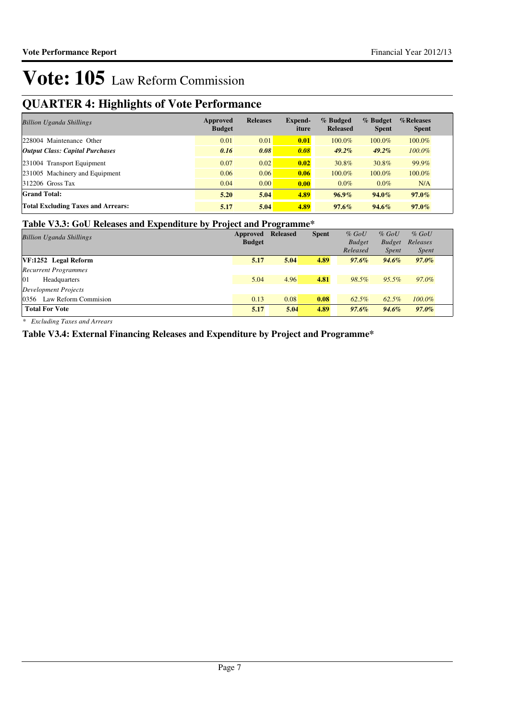### **QUARTER 4: Highlights of Vote Performance**

| <b>Billion Uganda Shillings</b>           | Approved<br><b>Budget</b> | <b>Releases</b> | Expend-<br>iture | % Budged<br><b>Released</b> | % Budget<br><b>Spent</b> | %Releases<br><b>Spent</b> |
|-------------------------------------------|---------------------------|-----------------|------------------|-----------------------------|--------------------------|---------------------------|
| 228004 Maintenance Other                  | 0.01                      | 0.01            | 0.01             | 100.0%                      | 100.0%                   | 100.0%                    |
| <b>Output Class: Capital Purchases</b>    | 0.16                      | 0.08            | 0.08             | $49.2\%$                    | $49.2\%$                 | $100.0\%$                 |
| 231004 Transport Equipment                | 0.07                      | 0.02            | 0.02             | 30.8%                       | 30.8%                    | 99.9%                     |
| 231005 Machinery and Equipment            | 0.06                      | 0.06            | 0.06             | 100.0%                      | 100.0%                   | $100.0\%$                 |
| $312206$ Gross Tax                        | 0.04                      | 0.00            | 0.00             | $0.0\%$                     | $0.0\%$                  | N/A                       |
| <b>Grand Total:</b>                       | 5.20                      | 5.04            | 4.89             | $96.9\%$                    | $94.0\%$                 | $97.0\%$                  |
| <b>Total Excluding Taxes and Arrears:</b> | 5.17                      | 5.04            | 4.89             | $97.6\%$                    | $94.6\%$                 | $97.0\%$                  |

### **Table V3.3: GoU Releases and Expenditure by Project and Programme\***

| <b>Billion Uganda Shillings</b> | Approved<br><b>Budget</b> | <b>Released</b> | <b>Spent</b> | $%$ GoU<br><b>Budget</b><br>Released | $%$ GoU<br><b>Budget</b><br><i>Spent</i> | $%$ GoU<br>Releases<br><i>Spent</i> |
|---------------------------------|---------------------------|-----------------|--------------|--------------------------------------|------------------------------------------|-------------------------------------|
| VF:1252 Legal Reform            | 5.17                      | 5.04            | 4.89         | $97.6\%$                             | 94.6%                                    | $97.0\%$                            |
| <b>Recurrent Programmes</b>     |                           |                 |              |                                      |                                          |                                     |
| 01<br>Headquarters              | 5.04                      | 4.96            | 4.81         | 98.5%                                | $95.5\%$                                 | $97.0\%$                            |
| Development Projects            |                           |                 |              |                                      |                                          |                                     |
| 0356 Law Reform Commission      | 0.13                      | 0.08            | 0.08         | 62.5%                                | 62.5%                                    | $100.0\%$                           |
| <b>Total For Vote</b>           | 5.17                      | 5.04            | 4.89         | $97.6\%$                             | $94.6\%$                                 | $97.0\%$                            |

*\* Excluding Taxes and Arrears*

### **Table V3.4: External Financing Releases and Expenditure by Project and Programme\***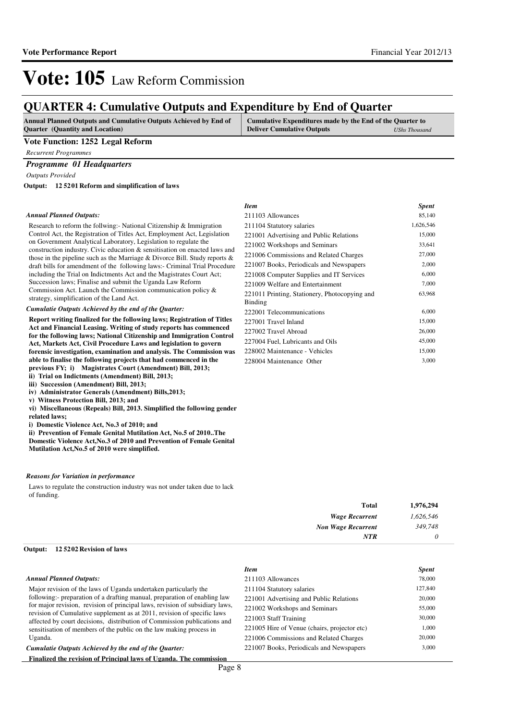#### Financial Year 2012/13

# Vote: 105 Law Reform Commission

### **QUARTER 4: Cumulative Outputs and Expenditure by End of Quarter**

| Annual Planned Outputs and Cumulative Outputs Achieved by End of | <b>Cumulative Expenditures made by the End of the Quarter to</b> |               |  |  |  |
|------------------------------------------------------------------|------------------------------------------------------------------|---------------|--|--|--|
| <b>Quarter</b> (Quantity and Location)                           | <b>Deliver Cumulative Outputs</b>                                | UShs Thousand |  |  |  |

#### **Vote Function: 1252 Legal Reform**

*Recurrent Programmes*

### *Programme 01 Headquarters*

*Outputs Provided*

**12 5201 Reform and simplification of laws Output:**

#### *Annual Planned Outputs:*

Research to reform the follwing:- National Citizenship & Immigration Control Act, the Registration of Titles Act, Employment Act, Legislation on Government Analytical Laboratory, Legislation to regulate the construction industry. Civic education & sensitisation on enacted laws and those in the pipeline such as the Marriage & Divorce Bill. Study reports & draft bills for amendment of the following laws:- Criminal Trial Procedure including the Trial on Indictments Act and the Magistrates Court Act; Succession laws; Finalise and submit the Uganda Law Reform Commission Act. Launch the Commission communication policy & strategy, simplification of the Land Act.

*Cumulatie Outputs Achieved by the end of the Quarter:*

**Report writing finalized for the following laws; Registration of Titles Act and Financial Leasing. Writing of study reports has commenced for the following laws; National Citizenship and Immigration Control Act, Markets Act, Civil Procedure Laws and legislation to govern forensic investigation, examination and analysis. The Commission was able to finalise the following projects that had commenced in the**  previous FY; i) Magistrates Court (Amendment) Bill, 2013; **ii)** Trial on Indictments (Amendment) Bill, 2013;

**iii)** Succession (Amendment) Bill, 2013;

- **iv)** Administrator Generals (Amendment) Bills,2013;
- **v)** Witness Protection Bill, 2013; and
- **vi) Miscellaneous (Repeals) Bill, 2013. Simplified the following gender related laws;**
- **i)** Domestic Violence Act, No.3 of 2010; and
- **ii) Prevention of Female Genital Mutilation Act, No.5 of 2010..The Domestic Violence Act,No.3 of 2010 and Prevention of Female Genital**

**Mutilation Act,No.5 of 2010 were simplified.**

#### *Reasons for Variation in performance*

Laws to regulate the construction industry was not under taken due to lack of funding.

| 1,976,294 | Total                     |
|-----------|---------------------------|
| 1,626,546 | <b>Wage Recurrent</b>     |
| 349,748   | <b>Non Wage Recurrent</b> |
| 0         | <b>NTR</b>                |
|           |                           |

### **12 5202 Revision of laws Output:**

#### *Annual Planned Outputs:*

Major revision of the laws of Uganda undertaken particularly the following:- preparation of a drafting manual, preparation of enabling law for major revision, revision of principal laws, revision of subsidiary laws, revision of Cumulative supplement as at 2011, revision of specific laws affected by court decisions, distribution of Commission publications and sensitisation of members of the public on the law making process in Uganda.

*Cumulatie Outputs Achieved by the end of the Quarter:*

**Finalized the revision of Principal laws of Uganda. The commission** 

| Item                                          | <b>Spent</b> |
|-----------------------------------------------|--------------|
| 211103 Allowances                             | 85,140       |
| 211104 Statutory salaries                     | 1,626,546    |
| 221001 Advertising and Public Relations       | 15,000       |
| 221002 Workshops and Seminars                 | 33,641       |
| 221006 Commissions and Related Charges        | 27,000       |
| 221007 Books, Periodicals and Newspapers      | 2,000        |
| 221008 Computer Supplies and IT Services      | 6,000        |
| 221009 Welfare and Entertainment              | 7,000        |
| 221011 Printing, Stationery, Photocopying and | 63,968       |
| Binding                                       |              |
| 222001 Telecommunications                     | 6,000        |
| 227001 Travel Inland                          | 15,000       |
| 227002 Travel Abroad                          | 26,000       |
| 227004 Fuel, Lubricants and Oils              | 45,000       |
| 228002 Maintenance - Vehicles                 | 15,000       |
| 228004 Maintenance Other                      | 3,000        |

| 211103 Allowances                       | 78,000  |
|-----------------------------------------|---------|
| 211104 Statutory salaries               | 127,840 |
| 221001 Advertising and Public Relations | 20,000  |
| $221002 \text{ W} + 11$ 10 $\cdot$      | 55000   |

| 221001 Advertising and Public Relations      | 20,000 |
|----------------------------------------------|--------|
| 221002 Workshops and Seminars                | 55,000 |
| 221003 Staff Training                        | 30,000 |
| 221005 Hire of Venue (chairs, projector etc) | 1,000  |
| 221006 Commissions and Related Charges       | 20,000 |
| 221007 Books, Periodicals and Newspapers     | 3,000  |
|                                              |        |

*Item Spent*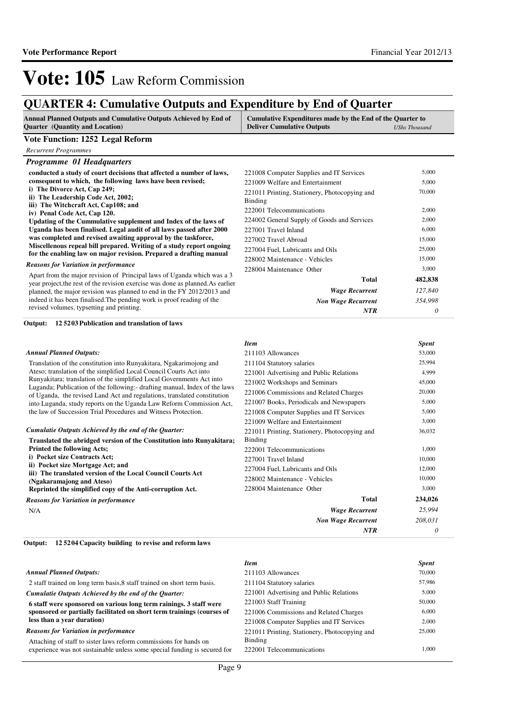### **QUARTER 4: Cumulative Outputs and Expenditure by End of Quarter**

| <b>Annual Planned Outputs and Cumulative Outputs Achieved by End of</b> | Cumulative Expenditures made by the End of the Quarter to |               |
|-------------------------------------------------------------------------|-----------------------------------------------------------|---------------|
| <b>Ouarter</b> (Quantity and Location)                                  | <b>Deliver Cumulative Outputs</b>                         | UShs Thousand |

#### **Vote Function: 1252 Legal Reform**

|  | <b>Recurrent Programmes</b> |
|--|-----------------------------|
|--|-----------------------------|

| <b>Programme 01 Headquarters</b>                                                                                                                           |                                               |         |
|------------------------------------------------------------------------------------------------------------------------------------------------------------|-----------------------------------------------|---------|
| conducted a study of court decisions that affected a number of laws,                                                                                       | 221008 Computer Supplies and IT Services      | 5,000   |
| consequent to which, the following laws have been revised;                                                                                                 | 221009 Welfare and Entertainment              | 5,000   |
| i) The Divorce Act, Cap 249;                                                                                                                               | 221011 Printing, Stationery, Photocopying and | 70,000  |
| ii) The Leadership Code Act, 2002;                                                                                                                         | Binding                                       |         |
| iii) The Witchcraft Act, Cap108; and                                                                                                                       | 222001 Telecommunications                     | 2,000   |
| iv) Penal Code Act, Cap 120.                                                                                                                               |                                               |         |
| Updating of the Cummulative supplement and Index of the laws of                                                                                            | 224002 General Supply of Goods and Services   | 2,000   |
| Uganda has been finalised. Legal audit of all laws passed after 2000                                                                                       | 227001 Travel Inland                          | 6,000   |
| was completed and revised awaiting approval by the taskforce,                                                                                              | 227002 Travel Abroad                          | 15,000  |
| Miscellenous repeal bill prepared. Writing of a study report ongoing<br>for the enabling law on major revision. Prepared a drafting manual                 | 227004 Fuel, Lubricants and Oils              | 25,000  |
|                                                                                                                                                            | 228002 Maintenance - Vehicles                 | 15,000  |
| <b>Reasons for Variation in performance</b>                                                                                                                | 228004 Maintenance Other                      | 3,000   |
| Apart from the major revision of Principal laws of Uganda which was a 3<br>year project, the rest of the revision exercise was done as planned. As earlier | Total                                         | 482,838 |
| planned, the major revision was planned to end in the FY 2012/2013 and                                                                                     | <b>Wage Recurrent</b>                         | 127,840 |
| indeed it has been finalised. The pending work is proof reading of the                                                                                     | <b>Non Wage Recurrent</b>                     | 354,998 |
| revised volumes, typsetting and printing.                                                                                                                  | <b>NTR</b>                                    | 0       |

#### **12 5203 Publication and translation of laws Output:**

#### *Annual Planned Outputs:*

Translation of the constitution into Runyakitara, Ngakarimojong and Ateso; translation of the simplified Local Council Courts Act into Runyakitara; translation of the simplified Local Governments Act into Luganda; Publication of the following:- drafting manual, Index of the laws of Uganda, the revised Land Act and regulations, translated constitution into Luganda, study reports on the Uganda Law Reform Commission Act, the law of Succession Trial Procedures and Witness Protection.

| Cumulatie Outputs Achieved by the end of the Ouarter:                 |  |
|-----------------------------------------------------------------------|--|
| Translated the abridged version of the Constitution into Runyakitara; |  |
| <b>Printed the following Acts:</b>                                    |  |
| i) Pocket size Contracts Act;                                         |  |
| ii) Pocket size Mortgage Act; and                                     |  |
| iii) The translated version of the Local Council Courts Act           |  |
| (Ngakaramajong and Ateso)                                             |  |
| Reprinted the simplified copy of the Anti-corruption Act.             |  |
| Reasons for Variation in performance                                  |  |

N/A

# *Reasons for Variation in performance*

| <b>Item</b>                                   | <b>Spent</b> |
|-----------------------------------------------|--------------|
| 211103 Allowances                             | 53,000       |
| 211104 Statutory salaries                     | 25,994       |
| 221001 Advertising and Public Relations       | 4,999        |
| 221002 Workshops and Seminars                 | 45,000       |
| 221006 Commissions and Related Charges        | 20,000       |
| 221007 Books, Periodicals and Newspapers      | 5,000        |
| 221008 Computer Supplies and IT Services      | 5,000        |
| 221009 Welfare and Entertainment              | 3,000        |
| 221011 Printing, Stationery, Photocopying and | 36,032       |
| Binding                                       |              |
| 222001 Telecommunications                     | 1,000        |
| 227001 Travel Inland                          | 10,000       |
| 227004 Fuel, Lubricants and Oils              | 12,000       |
| 228002 Maintenance - Vehicles                 | 10,000       |
| 228004 Maintenance Other                      | 3,000        |
| Total                                         | 234,026      |
| Wage Recurrent                                | 25,994       |
| <b>Non Wage Recurrent</b>                     | 208,031      |
| <b>NTR</b>                                    | 0            |

#### **12 5204 Capacity building to revise and reform laws Output:**

|                                                                           | <b>Item</b>                                   | <b>Spent</b> |
|---------------------------------------------------------------------------|-----------------------------------------------|--------------|
| <b>Annual Planned Outputs:</b>                                            | 211103 Allowances                             | 70,000       |
| 2 staff trained on long term basis, 8 staff trained on short term basis.  | 211104 Statutory salaries                     | 57,986       |
| Cumulatie Outputs Achieved by the end of the Quarter:                     | 221001 Advertising and Public Relations       | 5,000        |
| 6 staff were sponsored on various long term rainings. 3 staff were        | 221003 Staff Training                         | 50,000       |
| sponsored or partially facilitated on short term trainings (courses of    | 221006 Commissions and Related Charges        | 6.000        |
| less than a vear duration)                                                | 221008 Computer Supplies and IT Services      | 2,000        |
| <b>Reasons for Variation in performance</b>                               | 221011 Printing, Stationery, Photocopying and | 25,000       |
| Attaching of staff to sister laws reform commissions for hands on         | Binding                                       |              |
| experience was not sustainable unless some special funding is secured for | 222001 Telecommunications                     | 1.000        |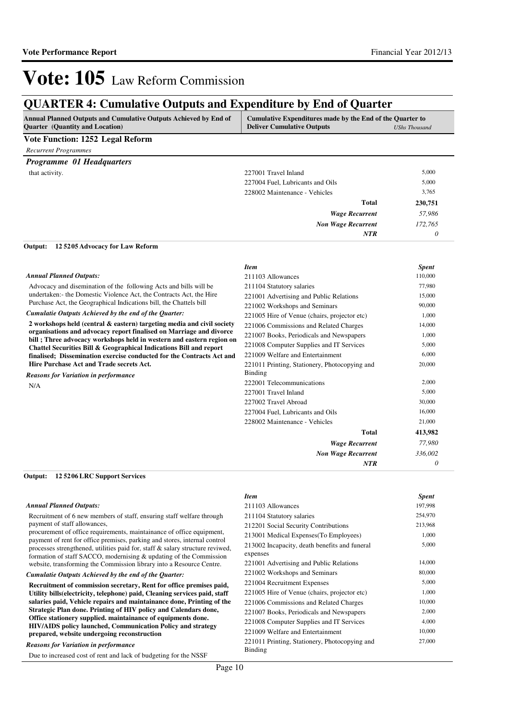### **QUARTER 4: Cumulative Outputs and Expenditure by End of Quarter**

| <b>Annual Planned Outputs and Cumulative Outputs Achieved by End of</b> | Cumulative Expenditures made by the End of the Quarter to |               |
|-------------------------------------------------------------------------|-----------------------------------------------------------|---------------|
| <b>Ouarter</b> (Quantity and Location)                                  | <b>Deliver Cumulative Outputs</b>                         | UShs Thousand |

#### **Vote Function: 1252 Legal Reform**

| <b>Recurrent Programmes</b>      |                                  |         |
|----------------------------------|----------------------------------|---------|
| <b>Programme 01 Headquarters</b> |                                  |         |
| that activity.                   | 227001 Travel Inland             | 5,000   |
|                                  | 227004 Fuel, Lubricants and Oils | 5,000   |
|                                  | 228002 Maintenance - Vehicles    | 3,765   |
|                                  | <b>Total</b>                     | 230,751 |
|                                  | <b>Wage Recurrent</b>            | 57,986  |
|                                  | <b>Non Wage Recurrent</b>        | 172,765 |
|                                  | <b>NTR</b>                       | 0       |

**12 5205 Advocacy for Law Reform Output:**

| <b>Item</b>                                   | <b>Spent</b> |
|-----------------------------------------------|--------------|
| 211103 Allowances                             | 110,000      |
| 211104 Statutory salaries                     | 77,980       |
| 221001 Advertising and Public Relations       | 15,000       |
| 221002 Workshops and Seminars                 | 90,000       |
| 221005 Hire of Venue (chairs, projector etc)  | 1,000        |
| 221006 Commissions and Related Charges        | 14,000       |
| 221007 Books, Periodicals and Newspapers      | 1,000        |
| 221008 Computer Supplies and IT Services      | 5,000        |
| 221009 Welfare and Entertainment              | 6,000        |
| 221011 Printing, Stationery, Photocopying and | 20,000       |
| <b>Binding</b>                                |              |
| 222001 Telecommunications                     | 2,000        |
| 227001 Travel Inland                          | 5,000        |
| 227002 Travel Abroad                          | 30,000       |
| 227004 Fuel, Lubricants and Oils              | 16,000       |
| 228002 Maintenance - Vehicles                 | 21,000       |
| Total                                         | 413,982      |
| <b>Wage Recurrent</b>                         | 77,980       |
| <b>Non Wage Recurrent</b>                     | 336,002      |
| <b>NTR</b>                                    | 0            |
|                                               |              |

### **12 5206 LRC Support Services Output:**

#### *Annual Planned Outputs:*

Recruitment of 6 new members of staff, ensuring staff welfare through payment of staff allowances,

procurement of office requirements, maintainance of office equipment, payment of rent for office premises, parking and stores, internal control processes strengthened, utilities paid for, staff & salary structure reviwed, formation of staff SACCO, modernising & updating of the Commission website, transforming the Commission library into a Resource Centre.

#### *Cumulatie Outputs Achieved by the end of the Quarter:*

**Recruitment of commission secretary, Rent for office premises paid, Utility bills(electricity, telephone) paid, Cleaning services paid, staff salaries paid, Vehicle repairs and maintainance done, Printing of the Strategic Plan done. Printing of HIV policy and Calendars done, Office stationery supplied. maintainance of equipments done. HIV/AIDS policy launched, Communication Policy and strategy prepared, website undergoing reconstruction**

*Reasons for Variation in performance*

Due to increased cost of rent and lack of budgeting for the NSSF

| Item                                                     | <b>Spent</b> |
|----------------------------------------------------------|--------------|
| 211103 Allowances                                        | 197,998      |
| 211104 Statutory salaries                                | 254,970      |
| 212201 Social Security Contributions                     | 213,968      |
| 213001 Medical Expenses (To Employees)                   | 1,000        |
| 213002 Incapacity, death benefits and funeral            | 5,000        |
| expenses                                                 |              |
| 221001 Advertising and Public Relations                  | 14,000       |
| 221002 Workshops and Seminars                            | 80,000       |
| 221004 Recruitment Expenses                              | 5,000        |
| 221005 Hire of Venue (chairs, projector etc)             | 1,000        |
| 221006 Commissions and Related Charges                   | 10,000       |
| 221007 Books, Periodicals and Newspapers                 | 2,000        |
| 221008 Computer Supplies and IT Services                 | 4,000        |
| 221009 Welfare and Entertainment                         | 10,000       |
| 221011 Printing, Stationery, Photocopying and<br>Binding | 27,000       |
|                                                          |              |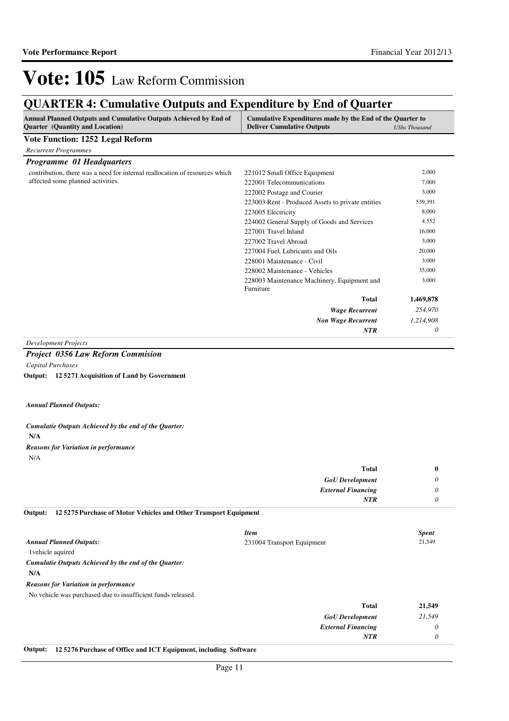### **QUARTER 4: Cumulative Outputs and Expenditure by End of Quarter**

| Annual Planned Outputs and Cumulative Outputs Achieved by End of<br>Quarter (Quantity and Location)                                    | Cumulative Expenditures made by the End of the Quarter to<br><b>Deliver Cumulative Outputs</b><br><b>UShs Thousand</b> |              |  |
|----------------------------------------------------------------------------------------------------------------------------------------|------------------------------------------------------------------------------------------------------------------------|--------------|--|
| <b>Vote Function: 1252 Legal Reform</b>                                                                                                |                                                                                                                        |              |  |
| <b>Recurrent Programmes</b>                                                                                                            |                                                                                                                        |              |  |
| Programme 01 Headquarters                                                                                                              |                                                                                                                        |              |  |
| contribution, there was a need for internal reallocation of resources which                                                            | 221012 Small Office Equipment                                                                                          | 2,000        |  |
| affected some planned activities.                                                                                                      | 222001 Telecommunications                                                                                              | 7,000        |  |
|                                                                                                                                        | 222002 Postage and Courier                                                                                             | 3,000        |  |
|                                                                                                                                        | 223003 Rent - Produced Assets to private entities                                                                      | 539,391      |  |
|                                                                                                                                        | 223005 Electricity                                                                                                     | 8,000        |  |
|                                                                                                                                        | 224002 General Supply of Goods and Services                                                                            | 4,552        |  |
|                                                                                                                                        | 227001 Travel Inland                                                                                                   | 16,000       |  |
|                                                                                                                                        | 227002 Travel Abroad                                                                                                   | 3,000        |  |
|                                                                                                                                        | 227004 Fuel, Lubricants and Oils                                                                                       | 20,000       |  |
|                                                                                                                                        | 228001 Maintenance - Civil                                                                                             | 3,000        |  |
|                                                                                                                                        | 228002 Maintenance - Vehicles                                                                                          | 35,000       |  |
|                                                                                                                                        | 228003 Maintenance Machinery, Equipment and                                                                            | 3,000        |  |
|                                                                                                                                        | Furniture                                                                                                              |              |  |
|                                                                                                                                        | <b>Total</b>                                                                                                           | 1,469,878    |  |
|                                                                                                                                        | <b>Wage Recurrent</b>                                                                                                  | 254,970      |  |
|                                                                                                                                        | <b>Non Wage Recurrent</b>                                                                                              | 1,214,908    |  |
|                                                                                                                                        | NTR                                                                                                                    | 0            |  |
| <b>Development Projects</b>                                                                                                            |                                                                                                                        |              |  |
| <b>Project 0356 Law Reform Commision</b>                                                                                               |                                                                                                                        |              |  |
| Capital Purchases                                                                                                                      |                                                                                                                        |              |  |
| Output: 125271 Acquisition of Land by Government                                                                                       |                                                                                                                        |              |  |
|                                                                                                                                        |                                                                                                                        |              |  |
| <b>Annual Planned Outputs:</b>                                                                                                         |                                                                                                                        |              |  |
| Cumulatie Outputs Achieved by the end of the Quarter:<br>N/A                                                                           |                                                                                                                        |              |  |
| <b>Reasons for Variation in performance</b>                                                                                            |                                                                                                                        |              |  |
| N/A                                                                                                                                    |                                                                                                                        |              |  |
|                                                                                                                                        |                                                                                                                        |              |  |
|                                                                                                                                        | <b>Total</b>                                                                                                           | $\bf{0}$     |  |
|                                                                                                                                        | <b>GoU</b> Development                                                                                                 | 0            |  |
|                                                                                                                                        | <b>External Financing</b>                                                                                              | 0            |  |
|                                                                                                                                        | <b>NTR</b>                                                                                                             | 0            |  |
| 125275 Purchase of Motor Vehicles and Other Transport Equipment<br>Output:                                                             |                                                                                                                        |              |  |
|                                                                                                                                        |                                                                                                                        |              |  |
|                                                                                                                                        | <b>Item</b>                                                                                                            | <b>Spent</b> |  |
|                                                                                                                                        | 231004 Transport Equipment                                                                                             | 21,549       |  |
| 1 vehicle aquired                                                                                                                      |                                                                                                                        |              |  |
|                                                                                                                                        |                                                                                                                        |              |  |
| N/A                                                                                                                                    |                                                                                                                        |              |  |
| <b>Annual Planned Outputs:</b><br>Cumulatie Outputs Achieved by the end of the Quarter:<br><b>Reasons for Variation in performance</b> |                                                                                                                        |              |  |

| 21,549 | <b>Total</b>              |
|--------|---------------------------|
| 21,549 | <b>GoU</b> Development    |
| υ      | <b>External Financing</b> |
|        | <b>NTR</b>                |
|        |                           |

**Output: 12 5276 Purchase of Office and ICT Equipment, including Software**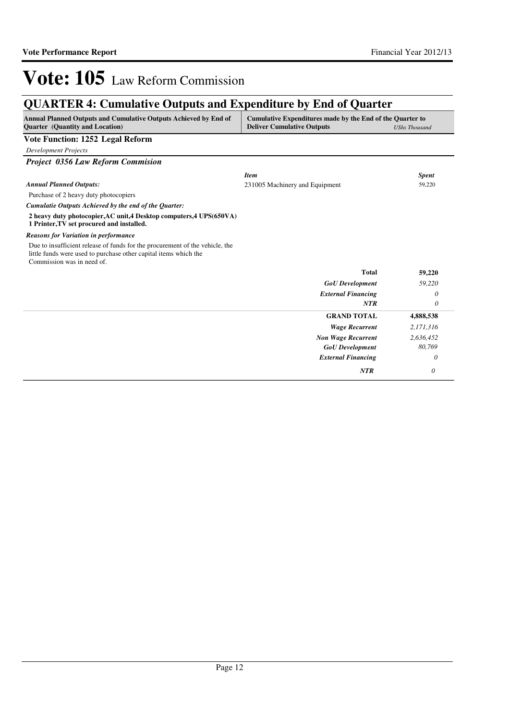### **QUARTER 4: Cumulative Outputs and Expenditure by End of Quarter**

| <b>Annual Planned Outputs and Cumulative Outputs Achieved by End of</b><br><b>Ouarter</b> (Quantity and Location)                                                              | Cumulative Expenditures made by the End of the Quarter to<br><b>Deliver Cumulative Outputs</b> | <b>UShs Thousand</b> |
|--------------------------------------------------------------------------------------------------------------------------------------------------------------------------------|------------------------------------------------------------------------------------------------|----------------------|
| <b>Vote Function: 1252 Legal Reform</b>                                                                                                                                        |                                                                                                |                      |
| <b>Development Projects</b>                                                                                                                                                    |                                                                                                |                      |
| <b>Project 0356 Law Reform Commision</b>                                                                                                                                       |                                                                                                |                      |
|                                                                                                                                                                                | <b>Item</b>                                                                                    | <b>Spent</b>         |
| <b>Annual Planned Outputs:</b>                                                                                                                                                 | 231005 Machinery and Equipment                                                                 | 59,220               |
| Purchase of 2 heavy duty photocopiers                                                                                                                                          |                                                                                                |                      |
| Cumulatie Outputs Achieved by the end of the Quarter:                                                                                                                          |                                                                                                |                      |
| 2 heavy duty photocopier, AC unit, 4 Desktop computers, 4 UPS(650VA)<br>1 Printer, TV set procured and installed.                                                              |                                                                                                |                      |
| <b>Reasons for Variation in performance</b>                                                                                                                                    |                                                                                                |                      |
| Due to insufficient release of funds for the procurement of the vehicle, the<br>little funds were used to purchase other capital items which the<br>Commission was in need of. |                                                                                                |                      |
|                                                                                                                                                                                | <b>Total</b>                                                                                   | 59,220               |
|                                                                                                                                                                                | <b>GoU</b> Development                                                                         | 59,220               |
|                                                                                                                                                                                | <b>External Financing</b>                                                                      | 0                    |
|                                                                                                                                                                                | <b>NTR</b>                                                                                     | 0                    |
|                                                                                                                                                                                | <b>GRAND TOTAL</b>                                                                             | 4,888,538            |
|                                                                                                                                                                                | <b>Wage Recurrent</b>                                                                          | 2,171,316            |
|                                                                                                                                                                                | <b>Non Wage Recurrent</b>                                                                      | 2,636,452            |
|                                                                                                                                                                                | <b>GoU</b> Development                                                                         | 80,769               |
|                                                                                                                                                                                | <b>External Financing</b>                                                                      | 0                    |
|                                                                                                                                                                                | NTR                                                                                            | 0                    |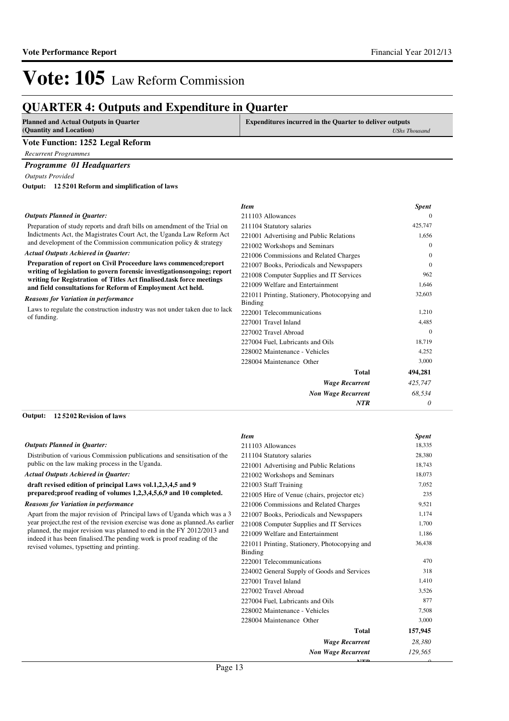*0*

*0*

# Vote: 105 Law Reform Commission

### **QUARTER 4: Outputs and Expenditure in Quarter**

| <b>Planned and Actual Outputs in Quarter</b>                              | <b>Expenditures incurred in the Quarter to deliver outputs</b> |                      |
|---------------------------------------------------------------------------|----------------------------------------------------------------|----------------------|
| (Quantity and Location)                                                   |                                                                | <b>UShs Thousand</b> |
| Vote Function: 1252 Legal Reform                                          |                                                                |                      |
| <b>Recurrent Programmes</b>                                               |                                                                |                      |
| <b>Programme 01 Headquarters</b>                                          |                                                                |                      |
| <b>Outputs Provided</b>                                                   |                                                                |                      |
| Output: 125201 Reform and simplification of laws                          |                                                                |                      |
|                                                                           | <b>Item</b>                                                    | <b>Spent</b>         |
| <b>Outputs Planned in Ouarter:</b>                                        | 211103 Allowances                                              |                      |
| Preparation of study reports and draft bills on amendment of the Trial on | 211104 Statutory salaries                                      | 425,747              |
| Indictments Act, the Magistrates Court Act, the Uganda Law Reform Act     | 221001 Advertising and Public Relations                        | 1,656                |

#### **Preparation of report on Civil Proceedure laws commenced;report writing of legislation to govern forensic investigationsongoing; report writing for Registration of Titles Act finalised.task force meetings**  *Actual Outputs Achieved in Quarter:*

and development of the Commission communication policy & strategy

**and field consultations for Reform of Employment Act held.**

#### *Reasons for Variation in performance*

Laws to regulate the construction industry was not under taken due to lack of funding.

| 211103 Allowances                             | $\Omega$ |
|-----------------------------------------------|----------|
| 211104 Statutory salaries                     | 425,747  |
| 221001 Advertising and Public Relations       | 1,656    |
| 221002 Workshops and Seminars                 | $\Omega$ |
| 221006 Commissions and Related Charges        | $\Omega$ |
| 221007 Books, Periodicals and Newspapers      | $\Omega$ |
| 221008 Computer Supplies and IT Services      | 962      |
| 221009 Welfare and Entertainment              | 1,646    |
| 221011 Printing, Stationery, Photocopying and | 32,603   |
| Binding                                       |          |
| 222001 Telecommunications                     | 1,210    |
| 227001 Travel Inland                          | 4,485    |
| 227002 Travel Abroad                          | $\Omega$ |
| 227004 Fuel, Lubricants and Oils              | 18,719   |
| 228002 Maintenance - Vehicles                 | 4,252    |
| 228004 Maintenance Other                      | 3,000    |
| <b>Total</b>                                  | 494,281  |
| Wage Recurrent                                | 425,747  |
| <b>Non Wage Recurrent</b>                     | 68,534   |

*NTR*

#### **12 5202 Revision of laws Output:**

#### *Outputs Planned in Quarter:*

Distribution of various Commission publications and sensitisation of the public on the law making process in the Uganda.

#### *Actual Outputs Achieved in Quarter:*

**draft revised edition of principal Laws vol.1,2,3,4,5 and 9 prepared;proof reading of volumes 1,2,3,4,5,6,9 and 10 completed.**

#### *Reasons for Variation in performance*

Apart from the major revision of Principal laws of Uganda which was a 3 year project,the rest of the revision exercise was done as planned.As earlier planned, the major revision was planned to end in the FY 2012/2013 and indeed it has been finalised.The pending work is proof reading of the revised volumes, typsetting and printing.

| <b>Item</b>                                   | <b>Spent</b> |
|-----------------------------------------------|--------------|
| 211103 Allowances                             | 18,335       |
| 211104 Statutory salaries                     | 28,380       |
| 221001 Advertising and Public Relations       | 18,743       |
| 221002 Workshops and Seminars                 | 18,073       |
| 221003 Staff Training                         | 7,052        |
| 221005 Hire of Venue (chairs, projector etc)  | 235          |
| 221006 Commissions and Related Charges        | 9,521        |
| 221007 Books, Periodicals and Newspapers      | 1,174        |
| 221008 Computer Supplies and IT Services      | 1,700        |
| 221009 Welfare and Entertainment              | 1,186        |
| 221011 Printing, Stationery, Photocopying and | 36,438       |
| <b>Binding</b>                                |              |
| 222001 Telecommunications                     | 470          |
| 224002 General Supply of Goods and Services   | 318          |
| 227001 Travel Inland                          | 1,410        |
| 227002 Travel Abroad                          | 3,526        |
| 227004 Fuel, Lubricants and Oils              | 877          |
| 228002 Maintenance - Vehicles                 | 7,508        |
| 228004 Maintenance Other                      | 3,000        |
| <b>Total</b>                                  | 157,945      |
| <b>Wage Recurrent</b>                         | 28,380       |
| <b>Non Wage Recurrent</b>                     | 129,565      |

*NTR*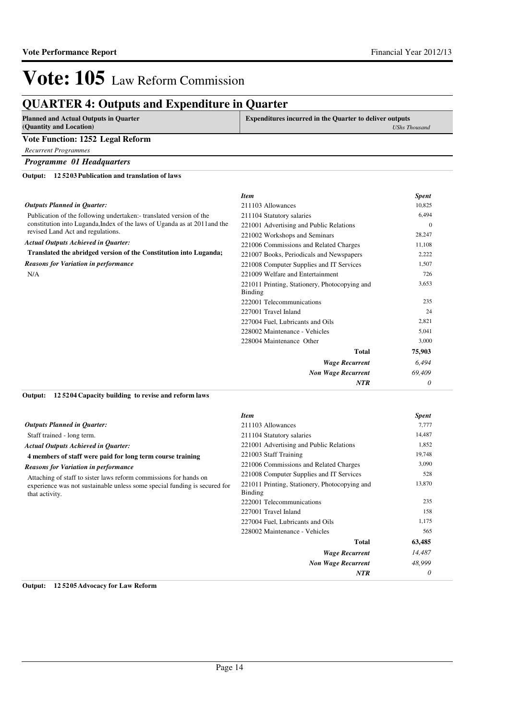### **QUARTER 4: Outputs and Expenditure in Quarter**

| <b>Planned and Actual Outputs in Quarter</b>                              | <b>Expenditures incurred in the Quarter to deliver outputs</b> |                      |
|---------------------------------------------------------------------------|----------------------------------------------------------------|----------------------|
| (Quantity and Location)                                                   |                                                                | <b>UShs Thousand</b> |
| Vote Function: 1252 Legal Reform                                          |                                                                |                      |
| <b>Recurrent Programmes</b>                                               |                                                                |                      |
| <b>Programme 01 Headquarters</b>                                          |                                                                |                      |
| 125203 Publication and translation of laws<br>Output:                     |                                                                |                      |
|                                                                           | <b>Item</b>                                                    | <b>Spent</b>         |
| <b>Outputs Planned in Quarter:</b>                                        | 211103 Allowances                                              | 10,825               |
| Publication of the following undertaken: translated version of the        | 211104 Statutory salaries                                      | 6,494                |
| constitution into Luganda, Index of the laws of Uganda as at 2011 and the | 221001 Advertising and Public Relations                        | $\Omega$             |
| revised Land Act and regulations.                                         | 221002 Workshops and Seminars                                  | 28,247               |
| <b>Actual Outputs Achieved in Quarter:</b>                                | 221006 Commissions and Related Charges                         | 11,108               |
| Translated the abridged version of the Constitution into Luganda;         | 221007 Books, Periodicals and Newspapers                       | 2,222                |
| <b>Reasons for Variation in performance</b>                               | 221008 Computer Supplies and IT Services                       | 1,507                |
| N/A                                                                       | 221009 Welfare and Entertainment                               | 726                  |
|                                                                           | 221011 Printing, Stationery, Photocopying and                  | 3,653                |
|                                                                           | Binding                                                        |                      |
|                                                                           | 222001 Telecommunications                                      | 235                  |
|                                                                           | 227001 Travel Inland                                           | 24                   |
|                                                                           | 227004 Fuel, Lubricants and Oils                               | 2,821                |

| 228002 Maintenance - Vehicles | 5,041    |
|-------------------------------|----------|
| 228004 Maintenance Other      | 3,000    |
| <b>Total</b>                  | 75,903   |
| <b>Wage Recurrent</b>         | 6,494    |
| <b>Non Wage Recurrent</b>     | 69,409   |
| <b>NTR</b>                    | $\theta$ |

#### **12 5204 Capacity building to revise and reform laws Output:**

|                                                                                             | Item                                                     | <b>Spent</b> |
|---------------------------------------------------------------------------------------------|----------------------------------------------------------|--------------|
| <b>Outputs Planned in Quarter:</b>                                                          | 211103 Allowances                                        | 7,777        |
| Staff trained - long term.                                                                  | 211104 Statutory salaries                                | 14,487       |
| <b>Actual Outputs Achieved in Quarter:</b>                                                  | 221001 Advertising and Public Relations                  | 1,852        |
| 4 members of staff were paid for long term course training                                  | 221003 Staff Training                                    | 19,748       |
| <b>Reasons for Variation in performance</b>                                                 | 221006 Commissions and Related Charges                   | 3,090        |
| Attaching of staff to sister laws reform commissions for hands on                           | 221008 Computer Supplies and IT Services                 | 528          |
| experience was not sustainable unless some special funding is secured for<br>that activity. | 221011 Printing, Stationery, Photocopying and<br>Binding | 13,870       |
|                                                                                             | 222001 Telecommunications                                | 235          |
|                                                                                             | 227001 Travel Inland                                     | 158          |
|                                                                                             | 227004 Fuel, Lubricants and Oils                         | 1,175        |
|                                                                                             | 228002 Maintenance - Vehicles                            | 565          |
|                                                                                             | <b>Total</b>                                             | 63,485       |
|                                                                                             | <b>Wage Recurrent</b>                                    | 14,487       |
|                                                                                             | <b>Non Wage Recurrent</b>                                | 48,999       |
|                                                                                             | <b>NTR</b>                                               | 0            |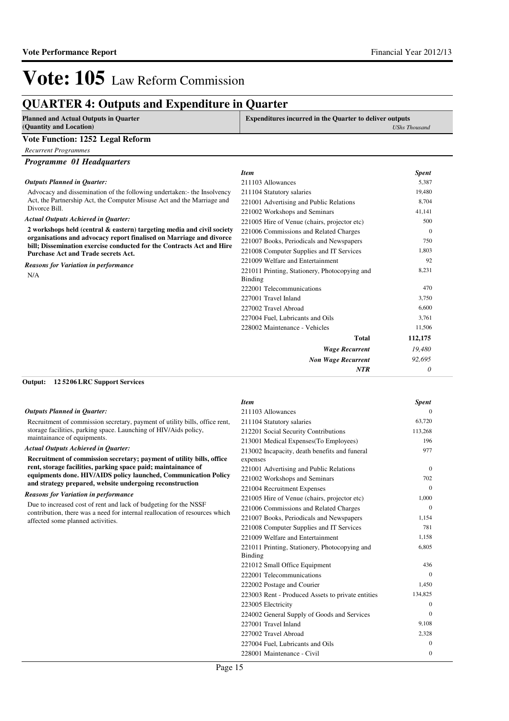### **QUARTER 4: Outputs and Expenditure in Quarter**

| <b>Planned and Actual Outputs in Quarter</b> | <b>Expenditures incurred in the Quarter to deliver outputs</b> |  |
|----------------------------------------------|----------------------------------------------------------------|--|
| (Quantity and Location)                      | <b>UShs Thousand</b>                                           |  |
| Vote Function: 1252 Legal Reform             |                                                                |  |
| Recurrent Programmes                         |                                                                |  |
| Programme 01 Headquarters                    |                                                                |  |
|                                              | <b>Item</b><br><b>Spent</b>                                    |  |
| <b>Outputs Planned in Quarter:</b>           | 5.387<br>211103 Allowances                                     |  |

Advocacy and dissemination of the following undertaken:- the Insol Act, the Partnership Act, the Computer Misuse Act and the Marriag Divorce Bill.

#### *Actual Outputs Achieved in Quarter:*

**2 workshops held (central & eastern) targeting media and civil** organisations and advocacy report finalised on Marriage and d bill; Dissemination exercise conducted for the Contracts Act and **Purchase Act and Trade secrets Act.**

#### *Reasons for Variation in performance*

N/A

|         | <b>Item</b>                                   | <b>Spent</b> |
|---------|-----------------------------------------------|--------------|
|         | 211103 Allowances                             | 5,387        |
| lvency  | 211104 Statutory salaries                     | 19,480       |
| te and  | 221001 Advertising and Public Relations       | 8,704        |
|         | 221002 Workshops and Seminars                 | 41,141       |
|         | 221005 Hire of Venue (chairs, projector etc)  | 500          |
| society | 221006 Commissions and Related Charges        | $\Omega$     |
| ivorce  | 221007 Books, Periodicals and Newspapers      | 750          |
| d Hire  | 221008 Computer Supplies and IT Services      | 1,803        |
|         | 221009 Welfare and Entertainment              | 92           |
|         | 221011 Printing, Stationery, Photocopying and | 8,231        |
|         | <b>Binding</b>                                |              |
|         | 222001 Telecommunications                     | 470          |
|         | 227001 Travel Inland                          | 3,750        |
|         | 227002 Travel Abroad                          | 6,600        |
|         | 227004 Fuel, Lubricants and Oils              | 3,761        |
|         | 228002 Maintenance - Vehicles                 | 11,506       |
|         | Total                                         | 112,175      |
|         | <b>Wage Recurrent</b>                         | 19,480       |
|         | <b>Non Wage Recurrent</b>                     | 92,695       |
|         | <b>NTR</b>                                    | 0            |
|         |                                               |              |

#### **12 5206 LRC Support Services Output:**

|  |  |  | <b>Outputs Planned in Quarter:</b> |
|--|--|--|------------------------------------|
|--|--|--|------------------------------------|

Recruitment of commission secretary, payment of utility bills, office rent, storage facilities, parking space. Launching of HIV/Aids policy, maintainance of equipments.

#### *Actual Outputs Achieved in Quarter:*

**Recruitment of commission secretary; payment of utility bills, office rent, storage facilities, parking space paid; maintainance of equipments done. HIV/AIDS policy launched, Communication Policy and strategy prepared, website undergoing reconstruction**

#### *Reasons for Variation in performance*

Due to increased cost of rent and lack of budgeting for the NSSF contribution, there was a need for internal reallocation of resources which affected some planned activities.

| <b>Item</b>                                       | <b>Spent</b> |
|---------------------------------------------------|--------------|
| 211103 Allowances                                 | 0            |
| 211104 Statutory salaries                         | 63,720       |
| 212201 Social Security Contributions              | 113,268      |
| 213001 Medical Expenses (To Employees)            | 196          |
| 213002 Incapacity, death benefits and funeral     | 977          |
| expenses                                          |              |
| 221001 Advertising and Public Relations           | $\Omega$     |
| 221002 Workshops and Seminars                     | 702          |
| 221004 Recruitment Expenses                       | $\Omega$     |
| 221005 Hire of Venue (chairs, projector etc)      | 1,000        |
| 221006 Commissions and Related Charges            | $\Omega$     |
| 221007 Books, Periodicals and Newspapers          | 1,154        |
| 221008 Computer Supplies and IT Services          | 781          |
| 221009 Welfare and Entertainment                  | 1,158        |
| 221011 Printing, Stationery, Photocopying and     | 6,805        |
| Binding                                           |              |
| 221012 Small Office Equipment                     | 436          |
| 222001 Telecommunications                         | $\Omega$     |
| 222002 Postage and Courier                        | 1,450        |
| 223003 Rent - Produced Assets to private entities | 134,825      |
| 223005 Electricity                                | $\Omega$     |
| 224002 General Supply of Goods and Services       | $\Omega$     |
| 227001 Travel Inland                              | 9,108        |
| 227002 Travel Abroad                              | 2,328        |
| 227004 Fuel, Lubricants and Oils                  | $\Omega$     |
| 228001 Maintenance - Civil                        | $\mathbf{0}$ |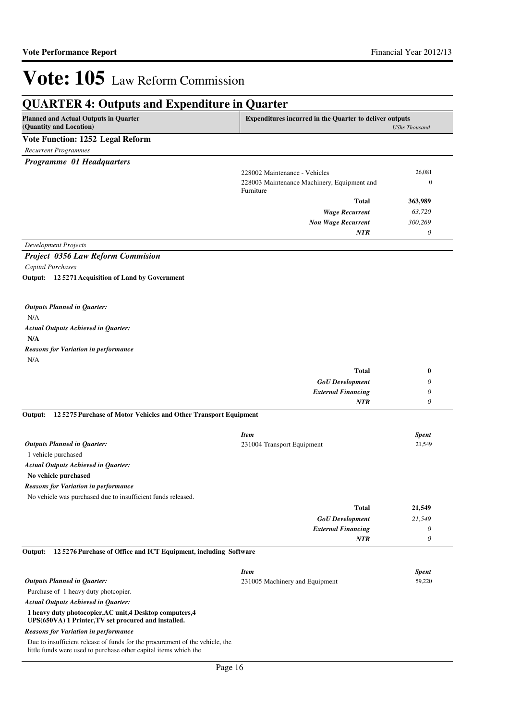### **QUARTER 4: Outputs and Expenditure in Quarter**

| $\frac{1}{2}$<br>                                                                                                                                |                                                                                        |                  |
|--------------------------------------------------------------------------------------------------------------------------------------------------|----------------------------------------------------------------------------------------|------------------|
| <b>Planned and Actual Outputs in Quarter</b><br>(Quantity and Location)                                                                          | <b>Expenditures incurred in the Quarter to deliver outputs</b><br><b>UShs Thousand</b> |                  |
| Vote Function: 1252 Legal Reform                                                                                                                 |                                                                                        |                  |
| <b>Recurrent Programmes</b>                                                                                                                      |                                                                                        |                  |
| Programme 01 Headquarters                                                                                                                        |                                                                                        |                  |
|                                                                                                                                                  | 228002 Maintenance - Vehicles                                                          | 26,081           |
|                                                                                                                                                  | 228003 Maintenance Machinery, Equipment and<br>Furniture                               | $\boldsymbol{0}$ |
|                                                                                                                                                  | <b>Total</b>                                                                           | 363,989          |
|                                                                                                                                                  | <b>Wage Recurrent</b>                                                                  | 63,720           |
|                                                                                                                                                  | <b>Non Wage Recurrent</b>                                                              | 300,269          |
| <b>Development Projects</b>                                                                                                                      | NTR                                                                                    | $\theta$         |
| <b>Project 0356 Law Reform Commision</b>                                                                                                         |                                                                                        |                  |
| Capital Purchases                                                                                                                                |                                                                                        |                  |
| Output: 125271 Acquisition of Land by Government                                                                                                 |                                                                                        |                  |
|                                                                                                                                                  |                                                                                        |                  |
| <b>Outputs Planned in Quarter:</b>                                                                                                               |                                                                                        |                  |
| N/A                                                                                                                                              |                                                                                        |                  |
| <b>Actual Outputs Achieved in Quarter:</b>                                                                                                       |                                                                                        |                  |
| N/A                                                                                                                                              |                                                                                        |                  |
| <b>Reasons for Variation in performance</b>                                                                                                      |                                                                                        |                  |
| N/A                                                                                                                                              |                                                                                        |                  |
|                                                                                                                                                  | <b>Total</b>                                                                           | $\bf{0}$         |
|                                                                                                                                                  | <b>GoU</b> Development                                                                 | 0                |
|                                                                                                                                                  | <b>External Financing</b>                                                              | 0                |
|                                                                                                                                                  | NTR                                                                                    | $\theta$         |
| 125275 Purchase of Motor Vehicles and Other Transport Equipment<br>Output:                                                                       |                                                                                        |                  |
|                                                                                                                                                  | <b>Item</b>                                                                            | <b>Spent</b>     |
| <b>Outputs Planned in Quarter:</b>                                                                                                               | 231004 Transport Equipment                                                             | 21,549           |
| 1 vehicle purchased                                                                                                                              |                                                                                        |                  |
| <b>Actual Outputs Achieved in Quarter:</b>                                                                                                       |                                                                                        |                  |
| No vehicle purchased                                                                                                                             |                                                                                        |                  |
| <b>Reasons for Variation in performance</b>                                                                                                      |                                                                                        |                  |
| No vehicle was purchased due to insufficient funds released.                                                                                     |                                                                                        |                  |
|                                                                                                                                                  | Total                                                                                  | 21,549           |
|                                                                                                                                                  | <b>GoU</b> Development                                                                 | 21,549           |
|                                                                                                                                                  | <b>External Financing</b>                                                              | 0                |
|                                                                                                                                                  | NTR                                                                                    | $\theta$         |
| 125276 Purchase of Office and ICT Equipment, including Software<br>Output:                                                                       |                                                                                        |                  |
|                                                                                                                                                  | <b>Item</b>                                                                            | <b>Spent</b>     |
| <b>Outputs Planned in Quarter:</b>                                                                                                               | 231005 Machinery and Equipment                                                         | 59,220           |
| Purchase of 1 heavy duty photopier.                                                                                                              |                                                                                        |                  |
| <b>Actual Outputs Achieved in Quarter:</b>                                                                                                       |                                                                                        |                  |
| 1 heavy duty photocopier, AC unit, 4 Desktop computers, 4<br>UPS(650VA) 1 Printer, TV set procured and installed.                                |                                                                                        |                  |
| <b>Reasons for Variation in performance</b>                                                                                                      |                                                                                        |                  |
| Due to insufficient release of funds for the procurement of the vehicle, the<br>little funds were used to purchase other capital items which the |                                                                                        |                  |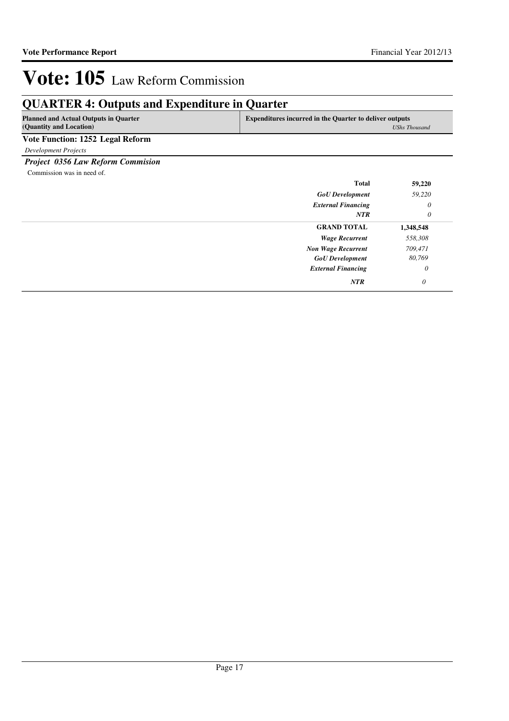### **QUARTER 4: Outputs and Expenditure in Quarter**

| <b>Planned and Actual Outputs in Quarter</b><br>(Quantity and Location) | <b>Expenditures incurred in the Quarter to deliver outputs</b><br>UShs Thousand |  |
|-------------------------------------------------------------------------|---------------------------------------------------------------------------------|--|
| Vote Function: 1252 Legal Reform                                        |                                                                                 |  |
| Development Projects                                                    |                                                                                 |  |

*Project 0356 Law Reform Commision*

Commission was in need of.

| <b>Total</b>              | 59,220    |
|---------------------------|-----------|
| <b>GoU</b> Development    | 59,220    |
| <b>External Financing</b> | $\theta$  |
| <b>NTR</b>                | 0         |
| <b>GRAND TOTAL</b>        | 1,348,548 |
| <b>Wage Recurrent</b>     | 558,308   |
| <b>Non Wage Recurrent</b> | 709,471   |
| <b>GoU</b> Development    | 80,769    |
| <b>External Financing</b> | $\theta$  |
| NTR                       | $\theta$  |